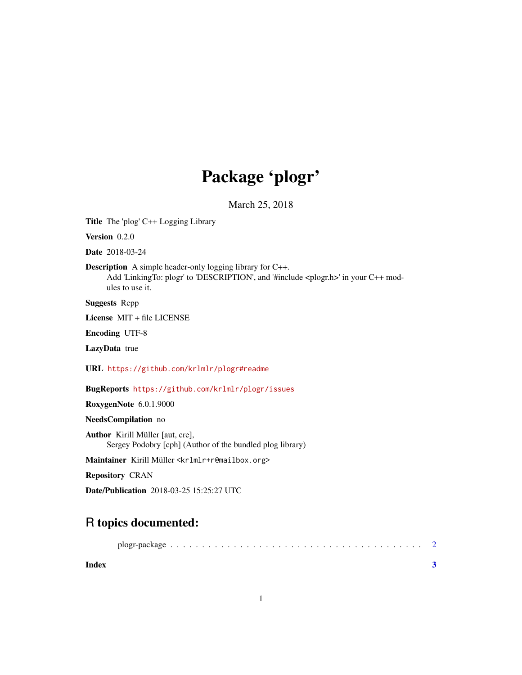## Package 'plogr'

March 25, 2018

Title The 'plog' C++ Logging Library

Version 0.2.0

Date 2018-03-24

Description A simple header-only logging library for C++.

Add 'LinkingTo: plogr' to 'DESCRIPTION', and '#include <plogr.h>' in your C++ modules to use it.

Suggests Rcpp

License MIT + file LICENSE

Encoding UTF-8

LazyData true

URL <https://github.com/krlmlr/plogr#readme>

BugReports <https://github.com/krlmlr/plogr/issues>

RoxygenNote 6.0.1.9000

NeedsCompilation no

Author Kirill Müller [aut, cre], Sergey Podobry [cph] (Author of the bundled plog library)

Maintainer Kirill Müller <krlmlr+r@mailbox.org>

Repository CRAN

Date/Publication 2018-03-25 15:25:27 UTC

### R topics documented:

| plogr-package |  |  |  |  |  |  |  |  |  |  |  |  |  |  |  |
|---------------|--|--|--|--|--|--|--|--|--|--|--|--|--|--|--|
|               |  |  |  |  |  |  |  |  |  |  |  |  |  |  |  |

**Index** [3](#page-2-0)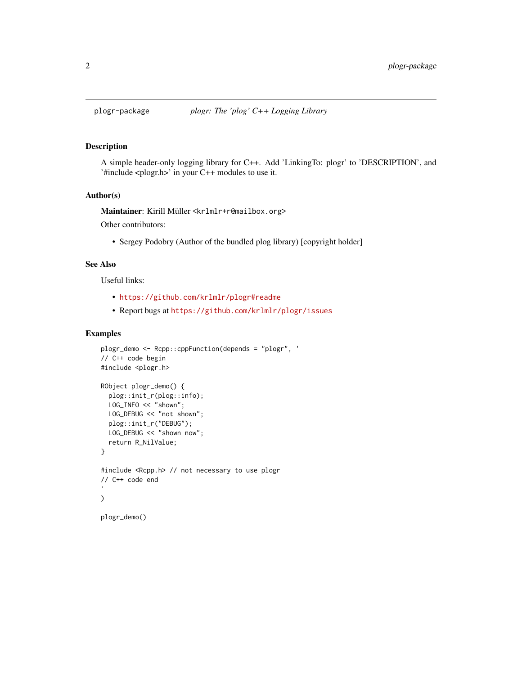<span id="page-1-0"></span>

#### Description

A simple header-only logging library for C++. Add 'LinkingTo: plogr' to 'DESCRIPTION', and '#include <plogr.h>' in your C++ modules to use it.

#### Author(s)

Maintainer: Kirill Müller <krlmlr+r@mailbox.org>

Other contributors:

• Sergey Podobry (Author of the bundled plog library) [copyright holder]

#### See Also

Useful links:

- <https://github.com/krlmlr/plogr#readme>
- Report bugs at <https://github.com/krlmlr/plogr/issues>

#### Examples

```
plogr_demo <- Rcpp::cppFunction(depends = "plogr", '
// C++ code begin
#include <plogr.h>
RObject plogr_demo() {
  plog::init_r(plog::info);
  LOG_INFO << "shown";
 LOG_DEBUG << "not shown";
  plog::init_r("DEBUG");
 LOG_DEBUG << "shown now";
  return R_NilValue;
}
#include <Rcpp.h> // not necessary to use plogr
// C++ code end
\mathcal{L}plogr_demo()
```